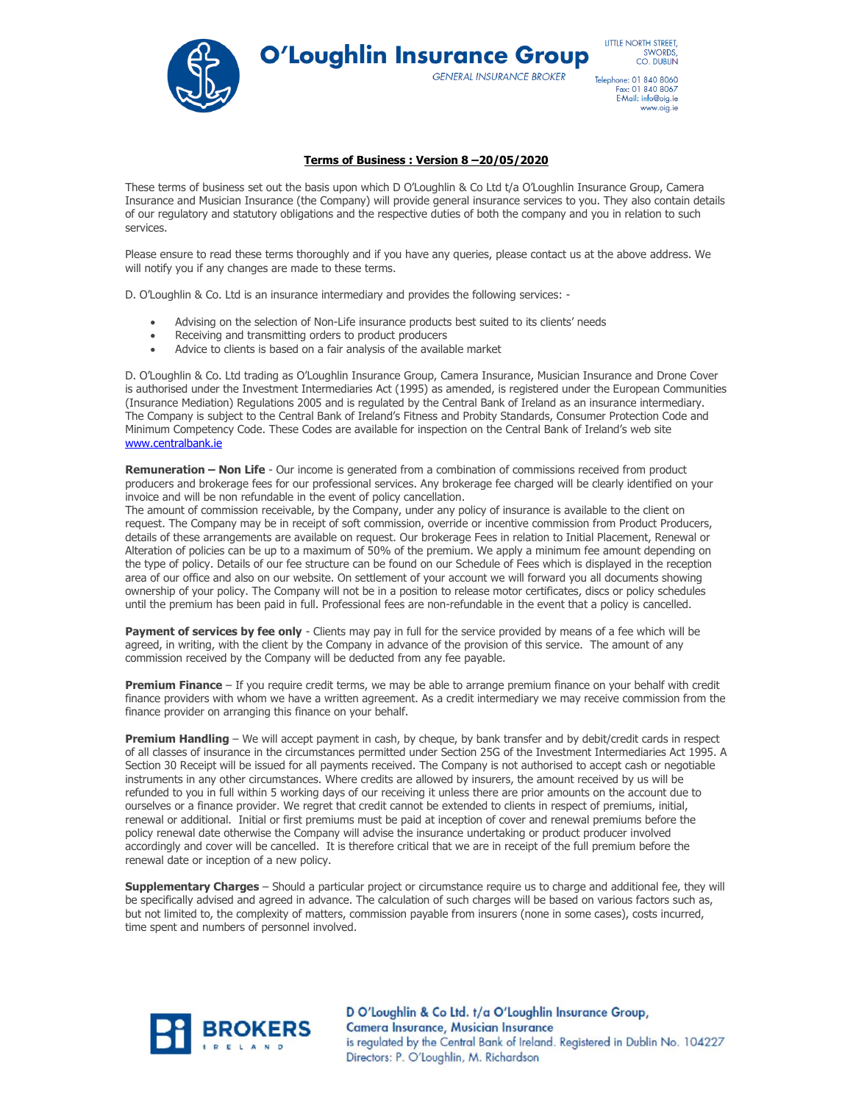

**O'Loughlin Insurance Group** 

**GENERAL INSURANCE BROKER** 

**IITTIF NORTH STREET** SWORDS,<br>CO. DUBLIN

Telephone: 01 840 8060<br>Fax: 01 840 8067 E-Mail: info@oig.ie www.oig.ie

# **Terms of Business : Version 8 –20/05/2020**

These terms of business set out the basis upon which D O'Loughlin & Co Ltd t/a O'Loughlin Insurance Group, Camera Insurance and Musician Insurance (the Company) will provide general insurance services to you. They also contain details of our regulatory and statutory obligations and the respective duties of both the company and you in relation to such services.

Please ensure to read these terms thoroughly and if you have any queries, please contact us at the above address. We will notify you if any changes are made to these terms.

D. O'Loughlin & Co. Ltd is an insurance intermediary and provides the following services: -

- Advising on the selection of Non-Life insurance products best suited to its clients' needs
- Receiving and transmitting orders to product producers
- Advice to clients is based on a fair analysis of the available market

D. O'Loughlin & Co. Ltd trading as O'Loughlin Insurance Group, Camera Insurance, Musician Insurance and Drone Cover is authorised under the Investment Intermediaries Act (1995) as amended, is registered under the European Communities (Insurance Mediation) Regulations 2005 and is regulated by the Central Bank of Ireland as an insurance intermediary. The Company is subject to the Central Bank of Ireland's Fitness and Probity Standards, Consumer Protection Code and Minimum Competency Code. These Codes are available for inspection on the Central Bank of Ireland's web site [www.centralbank.ie](http://www.centralbank.ie/)

**Remuneration – Non Life** - Our income is generated from a combination of commissions received from product producers and brokerage fees for our professional services. Any brokerage fee charged will be clearly identified on your invoice and will be non refundable in the event of policy cancellation.

The amount of commission receivable, by the Company, under any policy of insurance is available to the client on request. The Company may be in receipt of soft commission, override or incentive commission from Product Producers, details of these arrangements are available on request. Our brokerage Fees in relation to Initial Placement, Renewal or Alteration of policies can be up to a maximum of 50% of the premium. We apply a minimum fee amount depending on the type of policy. Details of our fee structure can be found on our Schedule of Fees which is displayed in the reception area of our office and also on our website. On settlement of your account we will forward you all documents showing ownership of your policy. The Company will not be in a position to release motor certificates, discs or policy schedules until the premium has been paid in full. Professional fees are non-refundable in the event that a policy is cancelled.

Payment of services by fee only - Clients may pay in full for the service provided by means of a fee which will be agreed, in writing, with the client by the Company in advance of the provision of this service. The amount of any commission received by the Company will be deducted from any fee payable.

**Premium Finance** – If you require credit terms, we may be able to arrange premium finance on your behalf with credit finance providers with whom we have a written agreement. As a credit intermediary we may receive commission from the finance provider on arranging this finance on your behalf.

**Premium Handling** – We will accept payment in cash, by cheque, by bank transfer and by debit/credit cards in respect of all classes of insurance in the circumstances permitted under Section 25G of the Investment Intermediaries Act 1995. A Section 30 Receipt will be issued for all payments received. The Company is not authorised to accept cash or negotiable instruments in any other circumstances. Where credits are allowed by insurers, the amount received by us will be refunded to you in full within 5 working days of our receiving it unless there are prior amounts on the account due to ourselves or a finance provider. We regret that credit cannot be extended to clients in respect of premiums, initial, renewal or additional. Initial or first premiums must be paid at inception of cover and renewal premiums before the policy renewal date otherwise the Company will advise the insurance undertaking or product producer involved accordingly and cover will be cancelled. It is therefore critical that we are in receipt of the full premium before the renewal date or inception of a new policy.

**Supplementary Charges** – Should a particular project or circumstance require us to charge and additional fee, they will be specifically advised and agreed in advance. The calculation of such charges will be based on various factors such as, but not limited to, the complexity of matters, commission payable from insurers (none in some cases), costs incurred, time spent and numbers of personnel involved.

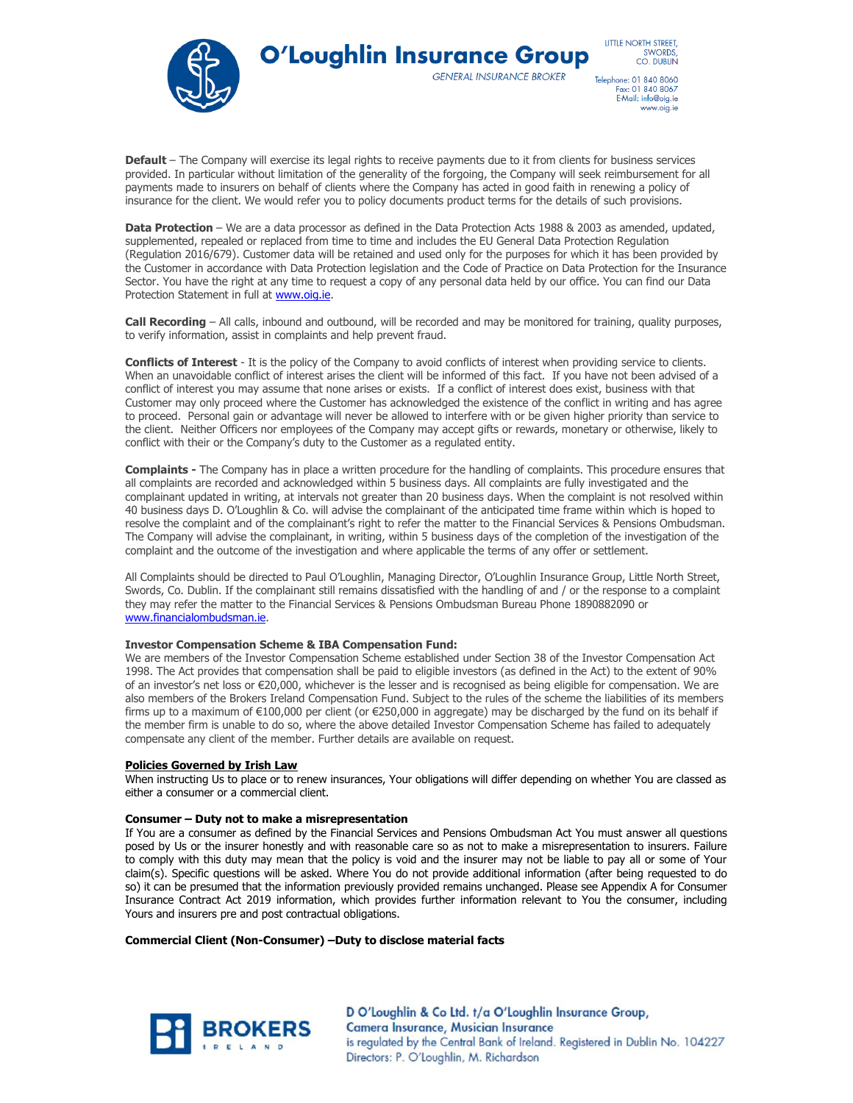

**O'Loughlin Insurance Group GENERAL INSURANCE BROKER** 

LITTLE NORTH STREET. SWORDS,<br>CO. DUBLIN

Telephone: 01 840 8060<br>Fax: 01 840 8067 E-Mail: info@oig.ie www.oig.ie

**Default** – The Company will exercise its legal rights to receive payments due to it from clients for business services provided. In particular without limitation of the generality of the forgoing, the Company will seek reimbursement for all payments made to insurers on behalf of clients where the Company has acted in good faith in renewing a policy of insurance for the client. We would refer you to policy documents product terms for the details of such provisions.

**Data Protection** – We are a data processor as defined in the Data Protection Acts 1988 & 2003 as amended, updated, supplemented, repealed or replaced from time to time and includes the EU General Data Protection Regulation (Regulation 2016/679). Customer data will be retained and used only for the purposes for which it has been provided by the Customer in accordance with Data Protection legislation and the Code of Practice on Data Protection for the Insurance Sector. You have the right at any time to request a copy of any personal data held by our office. You can find our Data Protection Statement in full at www.oig.ie.

**Call Recording** – All calls, inbound and outbound, will be recorded and may be monitored for training, quality purposes, to verify information, assist in complaints and help prevent fraud.

**Conflicts of Interest** - It is the policy of the Company to avoid conflicts of interest when providing service to clients. When an unavoidable conflict of interest arises the client will be informed of this fact. If you have not been advised of a conflict of interest you may assume that none arises or exists. If a conflict of interest does exist, business with that Customer may only proceed where the Customer has acknowledged the existence of the conflict in writing and has agree to proceed. Personal gain or advantage will never be allowed to interfere with or be given higher priority than service to the client. Neither Officers nor employees of the Company may accept gifts or rewards, monetary or otherwise, likely to conflict with their or the Company's duty to the Customer as a regulated entity.

**Complaints -** The Company has in place a written procedure for the handling of complaints. This procedure ensures that all complaints are recorded and acknowledged within 5 business days. All complaints are fully investigated and the complainant updated in writing, at intervals not greater than 20 business days. When the complaint is not resolved within 40 business days D. O'Loughlin & Co. will advise the complainant of the anticipated time frame within which is hoped to resolve the complaint and of the complainant's right to refer the matter to the Financial Services & Pensions Ombudsman. The Company will advise the complainant, in writing, within 5 business days of the completion of the investigation of the complaint and the outcome of the investigation and where applicable the terms of any offer or settlement.

All Complaints should be directed to Paul O'Loughlin, Managing Director, O'Loughlin Insurance Group, Little North Street, Swords, Co. Dublin. If the complainant still remains dissatisfied with the handling of and / or the response to a complaint they may refer the matter to the Financial Services & Pensions Ombudsman Bureau Phone 1890882090 or [www.financialombudsman.ie.](http://www.financialombudsman.ie/)

#### **Investor Compensation Scheme & IBA Compensation Fund:**

We are members of the Investor Compensation Scheme established under Section 38 of the Investor Compensation Act 1998. The Act provides that compensation shall be paid to eligible investors (as defined in the Act) to the extent of 90% of an investor's net loss or €20,000, whichever is the lesser and is recognised as being eligible for compensation. We are also members of the Brokers Ireland Compensation Fund. Subject to the rules of the scheme the liabilities of its members firms up to a maximum of €100,000 per client (or €250,000 in aggregate) may be discharged by the fund on its behalf if the member firm is unable to do so, where the above detailed Investor Compensation Scheme has failed to adequately compensate any client of the member. Further details are available on request.

#### **Policies Governed by Irish Law**

When instructing Us to place or to renew insurances, Your obligations will differ depending on whether You are classed as either a consumer or a commercial client.

#### **Consumer – Duty not to make a misrepresentation**

If You are a consumer as defined by the Financial Services and Pensions Ombudsman Act You must answer all questions posed by Us or the insurer honestly and with reasonable care so as not to make a misrepresentation to insurers. Failure to comply with this duty may mean that the policy is void and the insurer may not be liable to pay all or some of Your claim(s). Specific questions will be asked. Where You do not provide additional information (after being requested to do so) it can be presumed that the information previously provided remains unchanged. Please see Appendix A for Consumer Insurance Contract Act 2019 information, which provides further information relevant to You the consumer, including Yours and insurers pre and post contractual obligations.

**Commercial Client (Non-Consumer) –Duty to disclose material facts**

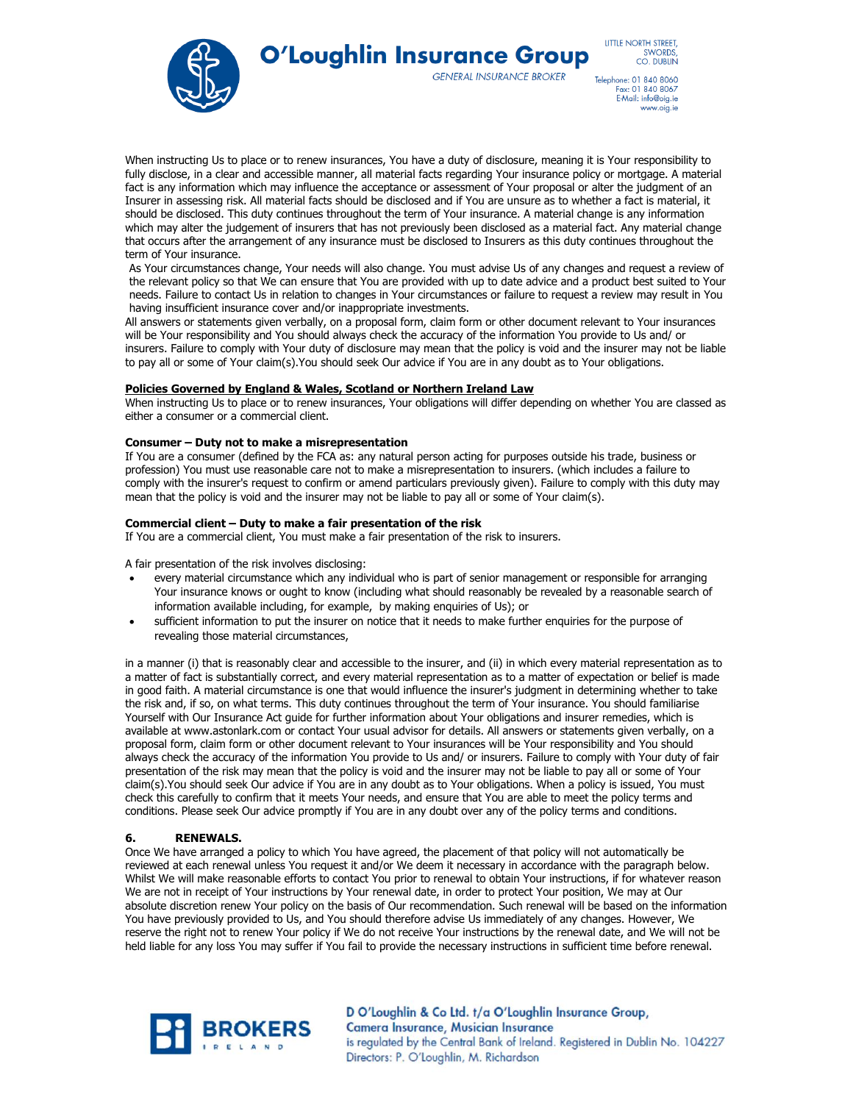

**O'Loughlin Insurance Group** 

**GENERAL INSURANCE BROKER** 

LITTLE NORTH STREET. SWORDS,<br>CO. DUBLIN

Telephone: 01 840 8060<br>Fax: 01 840 8067 E-Mail: info@oig.ie www.oig.ie

When instructing Us to place or to renew insurances, You have a duty of disclosure, meaning it is Your responsibility to fully disclose, in a clear and accessible manner, all material facts regarding Your insurance policy or mortgage. A material fact is any information which may influence the acceptance or assessment of Your proposal or alter the judgment of an Insurer in assessing risk. All material facts should be disclosed and if You are unsure as to whether a fact is material, it should be disclosed. This duty continues throughout the term of Your insurance. A material change is any information which may alter the judgement of insurers that has not previously been disclosed as a material fact. Any material change that occurs after the arrangement of any insurance must be disclosed to Insurers as this duty continues throughout the term of Your insurance.

As Your circumstances change, Your needs will also change. You must advise Us of any changes and request a review of the relevant policy so that We can ensure that You are provided with up to date advice and a product best suited to Your needs. Failure to contact Us in relation to changes in Your circumstances or failure to request a review may result in You having insufficient insurance cover and/or inappropriate investments.

All answers or statements given verbally, on a proposal form, claim form or other document relevant to Your insurances will be Your responsibility and You should always check the accuracy of the information You provide to Us and/ or insurers. Failure to comply with Your duty of disclosure may mean that the policy is void and the insurer may not be liable to pay all or some of Your claim(s).You should seek Our advice if You are in any doubt as to Your obligations.

## **Policies Governed by England & Wales, Scotland or Northern Ireland Law**

When instructing Us to place or to renew insurances, Your obligations will differ depending on whether You are classed as either a consumer or a commercial client.

## **Consumer – Duty not to make a misrepresentation**

If You are a consumer (defined by the FCA as: any natural person acting for purposes outside his trade, business or profession) You must use reasonable care not to make a misrepresentation to insurers. (which includes a failure to comply with the insurer's request to confirm or amend particulars previously given). Failure to comply with this duty may mean that the policy is void and the insurer may not be liable to pay all or some of Your claim(s).

## **Commercial client – Duty to make a fair presentation of the risk**

If You are a commercial client, You must make a fair presentation of the risk to insurers.

A fair presentation of the risk involves disclosing:

- every material circumstance which any individual who is part of senior management or responsible for arranging Your insurance knows or ought to know (including what should reasonably be revealed by a reasonable search of information available including, for example, by making enquiries of Us); or
- sufficient information to put the insurer on notice that it needs to make further enquiries for the purpose of revealing those material circumstances,

in a manner (i) that is reasonably clear and accessible to the insurer, and (ii) in which every material representation as to a matter of fact is substantially correct, and every material representation as to a matter of expectation or belief is made in good faith. A material circumstance is one that would influence the insurer's judgment in determining whether to take the risk and, if so, on what terms. This duty continues throughout the term of Your insurance. You should familiarise Yourself with Our Insurance Act guide for further information about Your obligations and insurer remedies, which is available at www.astonlark.com or contact Your usual advisor for details. All answers or statements given verbally, on a proposal form, claim form or other document relevant to Your insurances will be Your responsibility and You should always check the accuracy of the information You provide to Us and/ or insurers. Failure to comply with Your duty of fair presentation of the risk may mean that the policy is void and the insurer may not be liable to pay all or some of Your claim(s).You should seek Our advice if You are in any doubt as to Your obligations. When a policy is issued, You must check this carefully to confirm that it meets Your needs, and ensure that You are able to meet the policy terms and conditions. Please seek Our advice promptly if You are in any doubt over any of the policy terms and conditions.

## **6. RENEWALS.**

Once We have arranged a policy to which You have agreed, the placement of that policy will not automatically be reviewed at each renewal unless You request it and/or We deem it necessary in accordance with the paragraph below. Whilst We will make reasonable efforts to contact You prior to renewal to obtain Your instructions, if for whatever reason We are not in receipt of Your instructions by Your renewal date, in order to protect Your position, We may at Our absolute discretion renew Your policy on the basis of Our recommendation. Such renewal will be based on the information You have previously provided to Us, and You should therefore advise Us immediately of any changes. However, We reserve the right not to renew Your policy if We do not receive Your instructions by the renewal date, and We will not be held liable for any loss You may suffer if You fail to provide the necessary instructions in sufficient time before renewal.